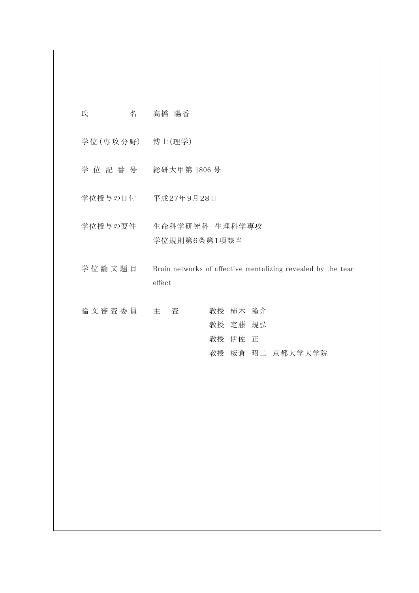| 氏               | 名 | 高橋 陽香                                                                  |                                 |                  |  |
|-----------------|---|------------------------------------------------------------------------|---------------------------------|------------------|--|
| 学位(専攻分野) 博士(理学) |   |                                                                        |                                 |                  |  |
|                 |   | 学位記番号 総研大甲第1806号                                                       |                                 |                  |  |
|                 |   | 学位授与の日付 平成27年9月28日                                                     |                                 |                  |  |
| 学位授与の要件         |   | 生命科学研究科 生理科学専攻<br>学位規則第6条第1項該当                                         |                                 |                  |  |
| 学位論文題目          |   | Brain networks of affective mentalizing revealed by the tear<br>effect |                                 |                  |  |
| 論文審査委員          |   | 主<br>査                                                                 | 教授 柿木 隆介<br>教授 定藤 規弘<br>教授 伊佐 正 | 教授 板倉 昭二 京都大学大学院 |  |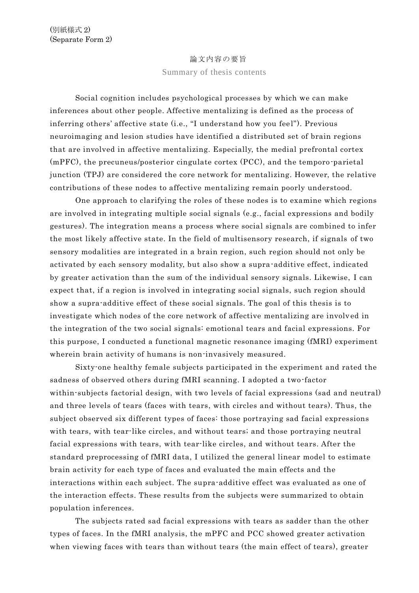## 論文内容の要旨 Summary of thesis contents

Social cognition includes psychological processes by which we can make inferences about other people. Affective mentalizing is defined as the process of inferring others' affective state (i.e., "I understand how you feel"). Previous neuroimaging and lesion studies have identified a distributed set of brain regions that are involved in affective mentalizing. Especially, the medial prefrontal cortex (mPFC), the precuneus/posterior cingulate cortex (PCC), and the temporo -parietal junction (TPJ) are considered the core network for mentalizing. However, the relative contributions of these nodes to affective mentalizing remain poorly understood.

One approach to clarifying the roles of these nodes is to examine which regions are involved in integrating multiple social signals (e.g., facial expressions and bodily gestures). The integration means a process where social signals are combined to infer the most likely affective state. In the field of multisensory research, if signals of two sensory modalities are integrated in a brain region, such region should not only be activated by each sensory modality, but also show a supra-additive effect, indicated by greater activation than the sum of the individual sensory signals. Likewise, I can expect that, if a region is involved in integrating social signals, such region should show a supra-additive effect of these social signals. The goal of this thesis is to investigate which nodes of the core network of affective mentalizing are involved in the integration of the two social signals: emotional tears and facial expressions. For this purpose, I conducted a functional magnetic resonance imaging (fMRI) experiment wherein brain activity of humans is non-invasively measured.

Sixty-one healthy female subjects participated in the experiment and rated the sadness of observed others during fMRI scanning. I adopted a two-factor within-subjects factorial design, with two levels of facial expressions (sad and neutral) and three levels of tears (faces with tears, with circles and without tears). Thus, the subject observed six different types of faces: those portraying sad facial expressions with tears, with tear-like circles, and without tears; and those portraying neutral facial expressions with tears, with tear-like circles, and without tears. After the standard preprocessing of fMRI data, I utilized the general linear model to estimate brain activity for each type of faces and evaluated the main effects and the interactions within each subject. The supra-additive effect was evaluated as one of the interaction effects. These results from the subjects were summarized to obtain population inferences.

The subjects rated sad facial expressions with tears as sadder than the other types of faces. In the fMRI analysis, the mPFC and PCC showed greater activation when viewing faces with tears than without tears (the main effect of tears), greater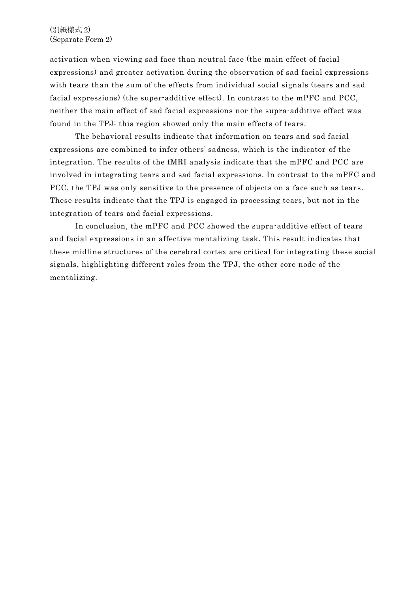(別紙様式 2) (Separate Form 2)

activation when viewing sad face than neutral face (the main effect of facial expressions) and greater activation during the observation of sad facial expressions with tears than the sum of the effects from individual social signals (tears and sad facial expressions) (the super-additive effect). In contrast to the mPFC and PCC, neither the main effect of sad facial expressions nor the supra-additive effect was found in the TPJ; this region showed only the main effects of tears.

The behavioral results indicate that information on tears and sad facial expressions are combined to infer others' sadness, which is the indicator of the integration. The results of the fMRI analysis indicate that the mPFC and PCC are involved in integrating tears and sad facial expressions. In contrast to the mPFC and PCC, the TPJ was only sensitive to the presence of objects on a face such as tears. These results indicate that the TPJ is engaged in processing tears, but not in the integration of tears and facial expressions.

In conclusion, the mPFC and PCC showed the supra-additive effect of tears and facial expressions in an affective mentalizing task. This result indicates that these midline structures of the cerebral cortex are critical for integrating these social signals, highlighting different roles from the TPJ, the other core node of the mentalizing.